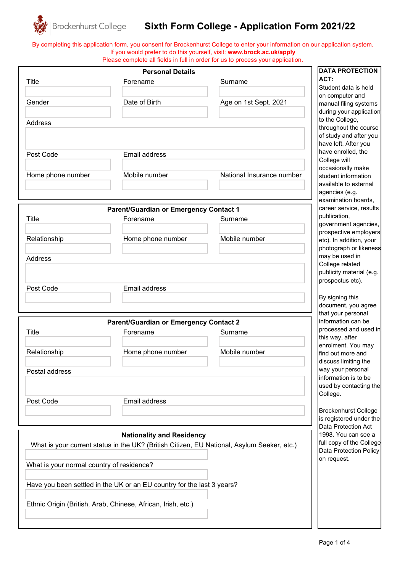

## **Sixth Form College - Application Form 2021/22**

By completing this application form, you consent for Brockenhurst College to enter your information on our application system. If you would prefer to do this yourself, visit: **www.brock.ac.uk/apply** Please complete all fields in full in order for us to process your application.

|                                           | <b>Personal Details</b>                                                                    |                           | <b>DATA PROTECTION</b>                           |
|-------------------------------------------|--------------------------------------------------------------------------------------------|---------------------------|--------------------------------------------------|
| <b>Title</b>                              | Forename                                                                                   | Surname                   | ACT:                                             |
|                                           |                                                                                            |                           | Student data is held                             |
| Gender                                    | Date of Birth                                                                              | Age on 1st Sept. 2021     | on computer and                                  |
|                                           |                                                                                            |                           | manual filing systems<br>during your application |
|                                           |                                                                                            |                           | to the College,                                  |
| Address                                   |                                                                                            |                           | throughout the course                            |
|                                           |                                                                                            |                           | of study and after you                           |
|                                           |                                                                                            |                           | have left. After you                             |
| Post Code                                 | Email address                                                                              |                           | have enrolled, the                               |
|                                           |                                                                                            |                           | College will                                     |
|                                           |                                                                                            |                           | occasionally make                                |
| Home phone number                         | Mobile number                                                                              | National Insurance number | student information                              |
|                                           |                                                                                            |                           | available to external                            |
|                                           |                                                                                            |                           | agencies (e.g.                                   |
|                                           |                                                                                            |                           | examination boards,                              |
|                                           | <b>Parent/Guardian or Emergency Contact 1</b>                                              |                           | career service, results                          |
| <b>Title</b>                              | Forename                                                                                   | Surname                   | publication,<br>government agencies,             |
|                                           |                                                                                            |                           | prospective employers                            |
| Relationship                              | Home phone number                                                                          | Mobile number             | etc). In addition, your                          |
|                                           |                                                                                            |                           | photograph or likeness                           |
| Address                                   |                                                                                            |                           | may be used in                                   |
|                                           |                                                                                            |                           | College related                                  |
|                                           |                                                                                            |                           | publicity material (e.g.                         |
|                                           |                                                                                            |                           | prospectus etc).                                 |
| Post Code                                 | Email address                                                                              |                           |                                                  |
|                                           |                                                                                            |                           | By signing this                                  |
|                                           |                                                                                            |                           | document, you agree                              |
|                                           |                                                                                            |                           | that your personal                               |
|                                           | <b>Parent/Guardian or Emergency Contact 2</b>                                              |                           | information can be                               |
| Title                                     | Forename                                                                                   | Surname                   | processed and used in                            |
|                                           |                                                                                            |                           | this way, after<br>enrolment. You may            |
| Relationship                              | Home phone number                                                                          | Mobile number             | find out more and                                |
|                                           |                                                                                            |                           | discuss limiting the                             |
| Postal address                            |                                                                                            |                           | way your personal                                |
|                                           |                                                                                            |                           | information is to be                             |
|                                           |                                                                                            |                           | used by contacting the                           |
|                                           |                                                                                            |                           | College.                                         |
| Post Code                                 | Email address                                                                              |                           |                                                  |
|                                           |                                                                                            |                           | <b>Brockenhurst College</b>                      |
|                                           |                                                                                            |                           | is registered under the                          |
|                                           |                                                                                            |                           | Data Protection Act                              |
|                                           | <b>Nationality and Residency</b>                                                           |                           | 1998. You can see a                              |
|                                           | What is your current status in the UK? (British Citizen, EU National, Asylum Seeker, etc.) |                           | full copy of the College                         |
|                                           |                                                                                            |                           | Data Protection Policy                           |
| What is your normal country of residence? |                                                                                            |                           | on request.                                      |
|                                           |                                                                                            |                           |                                                  |
|                                           |                                                                                            |                           |                                                  |
|                                           | Have you been settled in the UK or an EU country for the last 3 years?                     |                           |                                                  |
|                                           |                                                                                            |                           |                                                  |
|                                           | Ethnic Origin (British, Arab, Chinese, African, Irish, etc.)                               |                           |                                                  |
|                                           |                                                                                            |                           |                                                  |
|                                           |                                                                                            |                           |                                                  |

 $\mathbf{1}$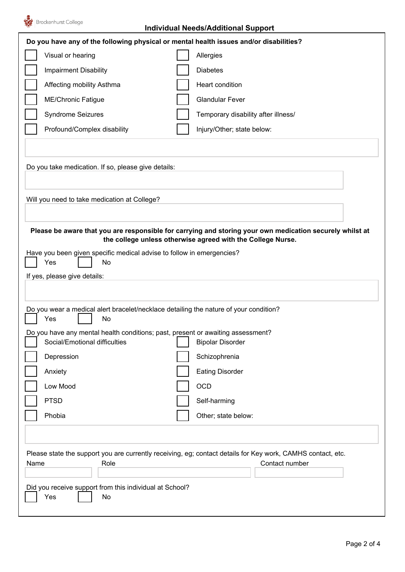

## **Individual Needs/Additional Support**

| Do you have any of the following physical or mental health issues and/or disabilities?                                                                                                                                                                                                        |                                     |  |  |  |  |
|-----------------------------------------------------------------------------------------------------------------------------------------------------------------------------------------------------------------------------------------------------------------------------------------------|-------------------------------------|--|--|--|--|
| Visual or hearing                                                                                                                                                                                                                                                                             | Allergies                           |  |  |  |  |
| <b>Impairment Disability</b>                                                                                                                                                                                                                                                                  | <b>Diabetes</b>                     |  |  |  |  |
| Affecting mobility Asthma                                                                                                                                                                                                                                                                     | Heart condition                     |  |  |  |  |
| <b>ME/Chronic Fatigue</b>                                                                                                                                                                                                                                                                     | <b>Glandular Fever</b>              |  |  |  |  |
| <b>Syndrome Seizures</b>                                                                                                                                                                                                                                                                      | Temporary disability after illness/ |  |  |  |  |
| Profound/Complex disability                                                                                                                                                                                                                                                                   | Injury/Other; state below:          |  |  |  |  |
|                                                                                                                                                                                                                                                                                               |                                     |  |  |  |  |
| Do you take medication. If so, please give details:                                                                                                                                                                                                                                           |                                     |  |  |  |  |
| Will you need to take medication at College?                                                                                                                                                                                                                                                  |                                     |  |  |  |  |
| Please be aware that you are responsible for carrying and storing your own medication securely<br>whilst at the college unless otherwise agreed with the College Nurse.<br>Have you been given specific medical advise to follow in emergencies?<br>Yes<br>No<br>If yes, please give details: |                                     |  |  |  |  |
| Do you wear a medical alert bracelet/necklace detailing the nature of your condition?<br>Yes<br>No                                                                                                                                                                                            |                                     |  |  |  |  |
| Do you have any mental health conditions; past, present or awaiting assessment?                                                                                                                                                                                                               |                                     |  |  |  |  |
| Social/Emotional difficulties                                                                                                                                                                                                                                                                 | <b>Bipolar Disorder</b>             |  |  |  |  |
| Depression                                                                                                                                                                                                                                                                                    | Schizophrenia                       |  |  |  |  |
| Anxiety                                                                                                                                                                                                                                                                                       | <b>Eating Disorder</b>              |  |  |  |  |
| Low Mood                                                                                                                                                                                                                                                                                      | OCD                                 |  |  |  |  |
| <b>PTSD</b>                                                                                                                                                                                                                                                                                   | Self-harming                        |  |  |  |  |
| Phobia                                                                                                                                                                                                                                                                                        | Other; state below:                 |  |  |  |  |
|                                                                                                                                                                                                                                                                                               |                                     |  |  |  |  |
| Please state the support you are currently receiving, eg; contact details for Key work, CAMHS contact, etc.<br>Contact number<br>Role<br>Name<br>Did you receive support from this individual at School?<br>Yes<br>No                                                                         |                                     |  |  |  |  |